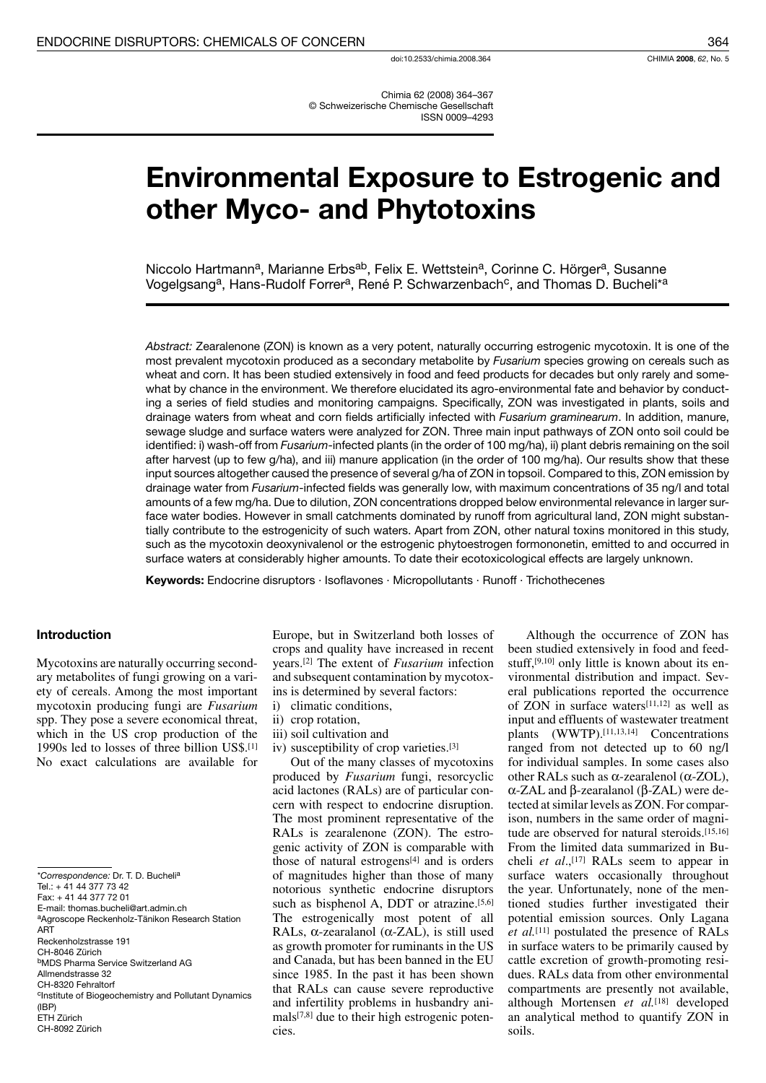# **Environmental Exposure to Estrogenic and** other Myco- and Phytotoxins

Niccolo Hartmann<sup>a</sup>, Marianne Erbs<sup>ab</sup>, Felix E. Wettstein<sup>a</sup>, Corinne C. Hörger<sup>a</sup>, Susanne Vogelgsang<sup>a</sup>, Hans-Rudolf Forrer<sup>a</sup>, René P. Schwarzenbach<sup>c</sup>, and Thomas D. Bucheli\*a

Abstract: Zearalenone (ZON) is known as a very potent, naturally occurring estrogenic mycotoxin. It is one of the most prevalent mycotoxin produced as a secondary metabolite by Fusarium species growing on cereals such as wheat and corn. It has been studied extensively in food and feed products for decades but only rarely and somewhat by chance in the environment. We therefore elucidated its agro-environmental fate and behavior by conducting a series of field studies and monitoring campaigns. Specifically, ZON was investigated in plants, soils and drainage waters from wheat and corn fields artificially infected with Fusarium graminearum. In addition, manure, sewage sludge and surface waters were analyzed for ZON. Three main input pathways of ZON onto soil could be identified: i) wash-off from Fusarium-infected plants (in the order of 100 mg/ha), ii) plant debris remaining on the soil after harvest (up to few g/ha), and iii) manure application (in the order of 100 mg/ha). Our results show that these input sources altogether caused the presence of several g/ha of ZON in topsoil. Compared to this, ZON emission by drainage water from Fusarium-infected fields was generally low, with maximum concentrations of 35 ng/l and total amounts of a few mg/ha. Due to dilution, ZON concentrations dropped below environmental relevance in larger surface water bodies. However in small catchments dominated by runoff from agricultural land, ZON might substantially contribute to the estrogenicity of such waters. Apart from ZON, other natural toxins monitored in this study, such as the mycotoxin deoxynivalenol or the estrogenic phytoestrogen formononetin, emitted to and occurred in surface waters at considerably higher amounts. To date their ecotoxicological effects are largely unknown.

Keywords: Endocrine disruptors · Isoflavones · Micropollutants · Runoff · Trichothecenes

## **Introduction**

Mycotoxins are naturally occurring secondary metabolities of fungi growing on a variety of cereals. Among the most important mycotoxin producing fungi are Fusarium spp. They pose a severe economical threat, which in the US crop production of the 1990s led to losses of three billion US\$.[1] No exact calculations are available for

Europe, but in Switzerland both losses of crops and quality have increased in recent years.<sup>[2]</sup> The extent of *Fusarium* infection and subsequent contamination by mycotoxins is determined by several factors:

- i) climatic conditions,
- ii) crop rotation,
- iii) soil cultivation and
- iv) susceptibility of crop varieties.[3]

Out of the many classes of mycotoxins produced by *Fusarium* fungi, resorcyclic acid lactones (RALs) are of particular concern with respect to endocrine disruption. The most prominent representative of the RALs is zearalenone (ZON). The estrogenic activity of ZON is comparable with those of natural estrogens<sup>[4]</sup> and is orders of magnitudes higher than those of many notorious synthetic endocrine disruptors such as bisphenol A, DDT or atrazine.<sup>[5,6]</sup> The estrogenically most potent of all RALs,  $\alpha$ -zearalanol ( $\alpha$ -ZAL), is still used as growth promoter for ruminants in the US and Canada, but has been banned in the EU since 1985. In the past it has been shown that RALs can cause severe reproductive and infertility problems in husbandry animals<sup>[7,8]</sup> due to their high estrogenic potencies

Although the occurrence of ZON has been studied extensively in food and feedstuff,  $[9,10]$  only little is known about its environmental distribution and impact. Several publications reported the occurrence of ZON in surface waters[11,12] as well as input and effluents of wastewater treatment plants (WWTP).<sup>[11,13,14]</sup> Concentrations ranged from not detected up to 60 ng/l for individual samples. In some cases also other RALs such as  $\alpha$ -zearalenol ( $\alpha$ -ZOL),  $\alpha$ -ZAL and  $\beta$ -zearalanol ( $\beta$ -ZAL) were detected at similar levels as ZON. For comparison, numbers in the same order of magnitude are observed for natural steroids.<sup>[15,16]</sup> From the limited data summarized in Bucheli et al.,<sup>[17]</sup> RALs seem to appear in surface waters occasionally throughout the year. Unfortunately, none of the mentioned studies further investigated their potential emission sources. Only Lagana et al.<sup>[11]</sup> postulated the presence of RALs in surface waters to be primarily caused by cattle excretion of growth-promoting residues. RALs data from other environmental compartments are presently not available, although Mortensen et al.<sup>[18]</sup> developed an analytical method to quantify ZON in soils

<sup>\*</sup>Correspondence: Dr T D Bucheli<sup>a</sup> Tel.: +41 44 377 73 42 Fax: +41 44 377 72 01 E-mail: thomas.bucheli@art.admin.ch aAgroscope Reckenholz-Tänikon Research Station ART Reckenholzstrasse 191 CH-8046 Zürich **bMDS Pharma Service Switzerland AG** Allmendstrasse 32 CH-8320 Fehraltorf <sup>c</sup>Institute of Biogeochemistry and Pollutant Dynamics  $(IBP)$ ETH Zürich CH-8092 Zürich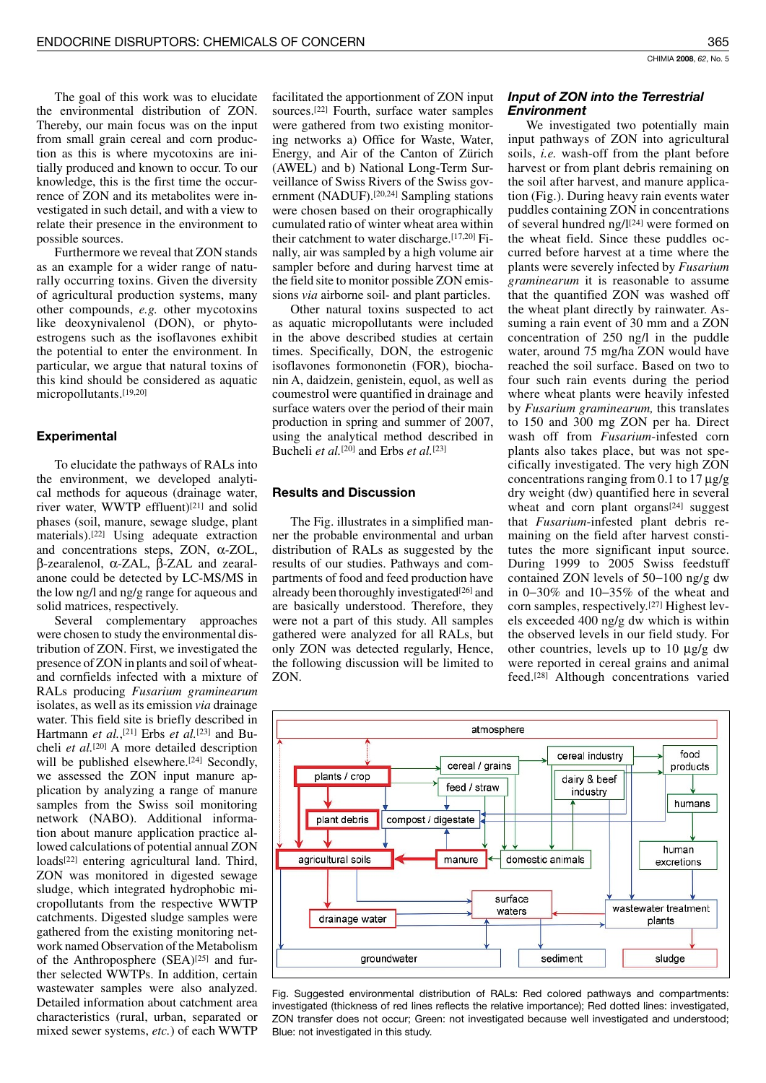The goal of this work was to elucidate the environmental distribution of ZON. Thereby, our main focus was on the input from small grain cereal and corn production as this is where mycotoxins are initially produced and known to occur. To our knowledge, this is the first time the occurrence of ZON and its metabolites were investigated in such detail, and with a view to relate their presence in the environment to possible sources.

Furthermore we reveal that ZON stands as an example for a wider range of naturally occurring toxins. Given the diversity of agricultural production systems, many other compounds, e.g. other mycotoxins like deoxynivalenol (DON), or phytoestrogens such as the isoflavones exhibit the potential to enter the environment. In particular, we argue that natural toxins of this kind should be considered as aquatic micropollutants.[19,20]

# **Experimental**

To elucidate the pathways of RALs into the environment, we developed analytical methods for aqueous (drainage water, river water, WWTP effluent)<sup>[21]</sup> and solid phases (soil, manure, sewage sludge, plant materials).<sup>[22]</sup> Using adequate extraction and concentrations steps, ZON,  $\alpha$ -ZOL,  $β$ -zearalenol, α-ZAL,  $β$ -ZAL and zearalanone could be detected by LC-MS/MS in the low ng/l and ng/g range for aqueous and solid matrices, respectively.

Several complementary approaches were chosen to study the environmental distribution of ZON. First, we investigated the presence of ZON in plants and soil of wheatand cornfields infected with a mixture of RALs producing Fusarium graminearum isolates, as well as its emission *via* drainage water. This field site is briefly described in Hartmann et al.,<sup>[21]</sup> Erbs et al.<sup>[23]</sup> and Bucheli et al.<sup>[20]</sup> A more detailed description will be published elsewhere.<sup>[24]</sup> Secondly, we assessed the ZON input manure application by analyzing a range of manure samples from the Swiss soil monitoring network (NABO). Additional information about manure application practice allowed calculations of potential annual ZON loads<sup>[22]</sup> entering agricultural land. Third, ZON was monitored in digested sewage sludge, which integrated hydrophobic micropollutants from the respective WWTP catchments. Digested sludge samples were gathered from the existing monitoring network named Observation of the Metabolism of the Anthroposphere (SEA)<sup>[25]</sup> and further selected WWTPs. In addition, certain wastewater samples were also analyzed. Detailed information about catchment area characteristics (rural, urban, separated or mixed sewer systems, etc.) of each WWTP

facilitated the apportionment of ZON input sources.<sup>[22]</sup> Fourth, surface water samples were gathered from two existing monitoring networks a) Office for Waste, Water, Energy, and Air of the Canton of Zürich (AWEL) and b) National Long-Term Surveillance of Swiss Rivers of the Swiss government (NADUF).<sup>[20,24]</sup> Sampling stations were chosen based on their orographically cumulated ratio of winter wheat area within their catchment to water discharge. [17,20] Finally, air was sampled by a high volume air sampler before and during harvest time at the field site to monitor possible ZON emissions via airborne soil- and plant particles.

Other natural toxins suspected to act as aquatic micropollutants were included in the above described studies at certain times. Specifically, DON, the estrogenic isoflavones formononetin (FOR), biochanin A, daidzein, genistein, equol, as well as coumestrol were quantified in drainage and surface waters over the period of their main production in spring and summer of 2007, using the analytical method described in Bucheli et al.<sup>[20]</sup> and Erbs et al.<sup>[23]</sup>

## **Results and Discussion**

The Fig. illustrates in a simplified manner the probable environmental and urban distribution of RALs as suggested by the results of our studies. Pathways and compartments of food and feed production have already been thoroughly investigated<sup>[26]</sup> and are basically understood. Therefore, they were not a part of this study. All samples gathered were analyzed for all RALs, but only ZON was detected regularly, Hence, the following discussion will be limited to ZON.

# Input of ZON into the Terrestrial **Environment**

We investigated two potentially main input pathways of ZON into agricultural soils, *i.e.* wash-off from the plant before harvest or from plant debris remaining on the soil after harvest, and manure application (Fig.). During heavy rain events water puddles containing ZON in concentrations of several hundred ng/l<sup>[24]</sup> were formed on the wheat field. Since these puddles occurred before harvest at a time where the plants were severely infected by Fusarium *graminearum* it is reasonable to assume that the quantified ZON was washed off the wheat plant directly by rainwater. Assuming a rain event of 30 mm and a ZON concentration of 250 ng/l in the puddle water, around 75 mg/ha ZON would have reached the soil surface. Based on two to four such rain events during the period where wheat plants were heavily infested by *Fusarium graminearum*, this translates to 150 and 300 mg ZON per ha. Direct wash off from Fusarium-infested corn plants also takes place, but was not specifically investigated. The very high ZON concentrations ranging from 0.1 to 17  $\mu$ g/g dry weight (dw) quantified here in several wheat and corn plant organs<sup>[24]</sup> suggest that *Fusarium*-infested plant debris remaining on the field after harvest constitutes the more significant input source. During 1999 to 2005 Swiss feedstuff contained ZON levels of  $50-100$  ng/g dw in  $0-30\%$  and  $10-35\%$  of the wheat and corn samples, respectively.<sup>[27]</sup> Highest levels exceeded 400 ng/g dw which is within the observed levels in our field study. For other countries, levels up to 10  $\mu$ g/g dw were reported in cereal grains and animal feed.<sup>[28]</sup> Although concentrations varied



Fig. Suggested environmental distribution of RALs: Red colored pathways and compartments: investigated (thickness of red lines reflects the relative importance); Red dotted lines: investigated, ZON transfer does not occur; Green: not investigated because well investigated and understood; Blue: not investigated in this study.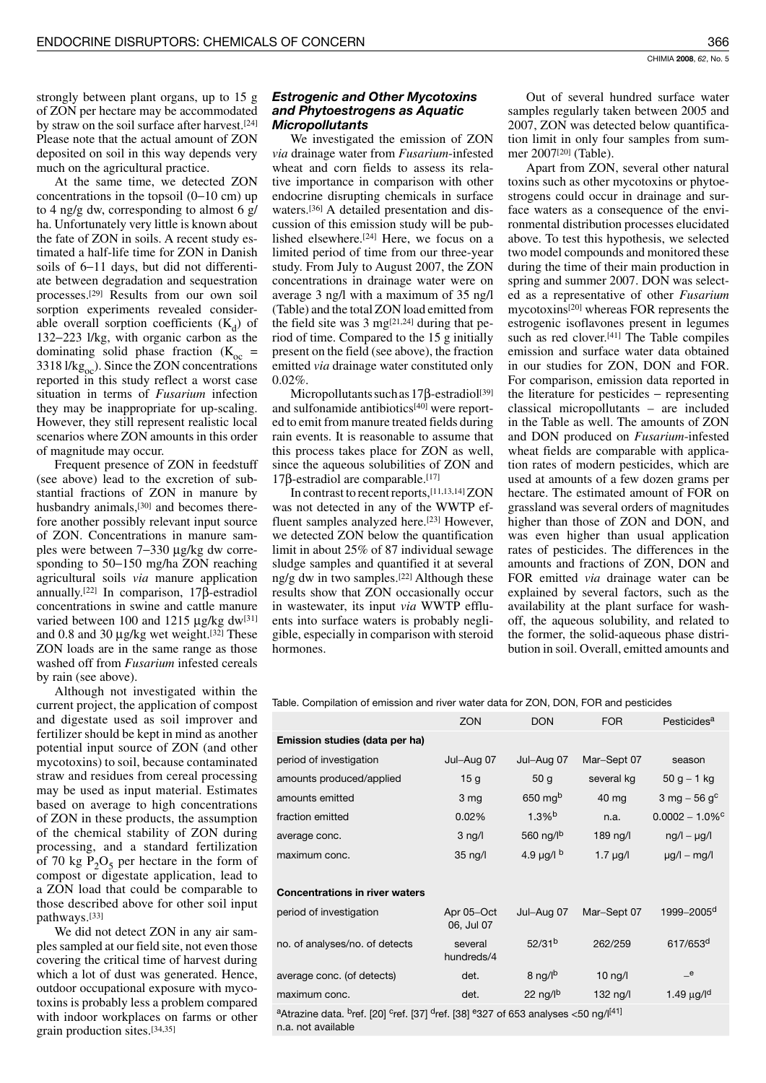strongly between plant organs, up to 15 g of ZON per hectare may be accommodated by straw on the soil surface after harvest.<sup>[24]</sup> Please note that the actual amount of ZON deposited on soil in this way depends very much on the agricultural practice.

At the same time, we detected ZON concentrations in the topsoil  $(0-10 \text{ cm})$  up to 4 ng/g dw, corresponding to almost 6 g/ ha. Unfortunately very little is known about the fate of ZON in soils. A recent study estimated a half-life time for ZON in Danish soils of 6-11 days, but did not differentiate between degradation and sequestration processes.<sup>[29]</sup> Results from our own soil sorption experiments revealed considerable overall sorption coefficients  $(K_d)$  of 132-223 l/kg, with organic carbon as the dominating solid phase fraction  $(K_{oc} =$ 3318  $1/kg<sub>oc</sub>$ ). Since the ZON concentrations reported in this study reflect a worst case situation in terms of Fusarium infection they may be inappropriate for up-scaling. However, they still represent realistic local scenarios where ZON amounts in this order of magnitude may occur.

Frequent presence of ZON in feedstuff (see above) lead to the excretion of substantial fractions of ZON in manure by husbandry animals,<sup>[30]</sup> and becomes therefore another possibly relevant input source of ZON. Concentrations in manure samples were between 7–330 μg/kg dw corresponding to  $50-150$  mg/ha ZON reaching agricultural soils via manure application annually.<sup>[22]</sup> In comparison,  $17\beta$ -estradiol concentrations in swine and cattle manure varied between 100 and 1215 µg/kg dw<sup>[31]</sup> and 0.8 and 30  $\mu$ g/kg wet weight.<sup>[32]</sup> These ZON loads are in the same range as those washed off from Fusarium infested cereals by rain (see above).

Although not investigated within the current project, the application of compost and digestate used as soil improver and fertilizer should be kept in mind as another potential input source of ZON (and other mycotoxins) to soil, because contaminated straw and residues from cereal processing may be used as input material. Estimates based on average to high concentrations of ZON in these products, the assumption of the chemical stability of ZON during processing, and a standard fertilization of 70 kg  $P_2O_5$  per hectare in the form of compost or digestate application, lead to a ZON load that could be comparable to those described above for other soil input pathways.[33]

We did not detect ZON in any air samples sampled at our field site, not even those covering the critical time of harvest during which a lot of dust was generated. Hence, outdoor occupational exposure with mycotoxins is probably less a problem compared with indoor workplaces on farms or other grain production sites.[34,35]

# **Estrogenic and Other Mycotoxins** and Phytoestrogens as Aquatic **Micropollutants**

We investigated the emission of ZON via drainage water from *Fusarium*-infested wheat and corn fields to assess its relative importance in comparison with other endocrine disrupting chemicals in surface waters.<sup>[36]</sup> A detailed presentation and discussion of this emission study will be published elsewhere.<sup>[24]</sup> Here, we focus on a limited period of time from our three-year study. From July to August 2007, the ZON concentrations in drainage water were on average 3 ng/l with a maximum of 35 ng/l (Table) and the total ZON load emitted from the field site was 3 mg<sup>[21,24]</sup> during that period of time. Compared to the 15 g initially present on the field (see above), the fraction emitted via drainage water constituted only  $0.02\%$ .

Micropollutants such as  $17\beta$ -estradiol<sup>[39]</sup> and sulfonamide antibiotics[40] were reported to emit from manure treated fields during rain events. It is reasonable to assume that this process takes place for ZON as well, since the aqueous solubilities of ZON and  $17\beta$ -estradiol are comparable.<sup>[17]</sup>

In contrast to recent reports, [11,13,14] ZON was not detected in any of the WWTP effluent samples analyzed here.[23] However, we detected ZON below the quantification limit in about 25% of 87 individual sewage sludge samples and quantified it at several ng/g dw in two samples.<sup>[22]</sup> Although these results show that ZON occasionally occur in wastewater, its input via WWTP effluents into surface waters is probably negligible, especially in comparison with steroid hormones.

Out of several hundred surface water samples regularly taken between 2005 and 2007, ZON was detected below quantification limit in only four samples from summer 2007<sup>[20]</sup> (Table).

Apart from ZON, several other natural toxins such as other mycotoxins or phytoestrogens could occur in drainage and surface waters as a consequence of the environmental distribution processes elucidated above. To test this hypothesis, we selected two model compounds and monitored these during the time of their main production in spring and summer 2007. DON was selected as a representative of other Fusarium mycotoxins<sup>[20]</sup> whereas FOR represents the estrogenic isoflavones present in legumes such as red clover.[41] The Table compiles emission and surface water data obtained in our studies for ZON, DON and FOR. For comparison, emission data reported in the literature for pesticides  $-$  representing classical micropollutants - are included in the Table as well. The amounts of ZON and DON produced on Fusarium-infested wheat fields are comparable with application rates of modern pesticides, which are used at amounts of a few dozen grams per hectare. The estimated amount of FOR on grassland was several orders of magnitudes higher than those of ZON and DON, and was even higher than usual application rates of pesticides. The differences in the amounts and fractions of ZON, DON and FOR emitted *via* drainage water can be explained by several factors, such as the availability at the plant surface for washoff, the aqueous solubility, and related to the former, the solid-aqueous phase distribution in soil. Overall, emitted amounts and

Table. Compilation of emission and river water data for ZON, DON, FOR and pesticides

|                                                                                                                                                            | <b>ZON</b>               | <b>DON</b>                   | <b>FOR</b>    | Pesticides <sup>a</sup>       |
|------------------------------------------------------------------------------------------------------------------------------------------------------------|--------------------------|------------------------------|---------------|-------------------------------|
| Emission studies (data per ha)                                                                                                                             |                          |                              |               |                               |
| period of investigation                                                                                                                                    | Jul-Aug 07               | Jul-Aug 07                   | Mar-Sept 07   | season                        |
| amounts produced/applied                                                                                                                                   | 15 <sub>g</sub>          | 50 <sub>g</sub>              | several kg    | $50 g - 1 kg$                 |
| amounts emitted                                                                                                                                            | 3 <sub>mg</sub>          | $650$ mg <sup>b</sup>        | 40 mg         | 3 mg $-56$ g <sup>c</sup>     |
| fraction emitted                                                                                                                                           | 0.02%                    | $1.3\%$ <sup>b</sup>         | n.a.          | $0.0002 - 1.0\%$ <sup>c</sup> |
| average conc.                                                                                                                                              | $3$ ng/l                 | 560 ng/lb                    | 189 ng/l      | $\frac{1}{\log(1 - \mu)}$     |
| maximum conc.                                                                                                                                              | $35$ ng/l                | 4.9 $\mu$ g/l b              | $1.7 \mu g/l$ | $\mu$ g/l – mg/l              |
|                                                                                                                                                            |                          |                              |               |                               |
| <b>Concentrations in river waters</b>                                                                                                                      |                          |                              |               |                               |
| period of investigation                                                                                                                                    | Apr 05-Oct<br>06, Jul 07 | Jul-Aug 07                   | Mar-Sept 07   | 1999-2005 <sup>d</sup>        |
| no. of analyses/no. of detects                                                                                                                             | several<br>hundreds/4    | 52/31 <sup>b</sup>           | 262/259       | 617/653 <sup>d</sup>          |
| average conc. (of detects)                                                                                                                                 | det.                     | $8$ ng/ $\vert$ <sup>b</sup> | $10$ ng/l     | e                             |
| maximum conc.                                                                                                                                              | det.                     | 22 ng/ $\mathsf{p}$          | 132 ng/l      | 1.49 $\mu$ g/l <sup>d</sup>   |
| <sup>a</sup> Atrazine data. <sup>b</sup> ref. [20] <sup>c</sup> ref. [37] <sup>d</sup> ref. [38] <sup>e</sup> 327 of 653 analyses <50 ng/l <sup>[41]</sup> |                          |                              |               |                               |

n a not available